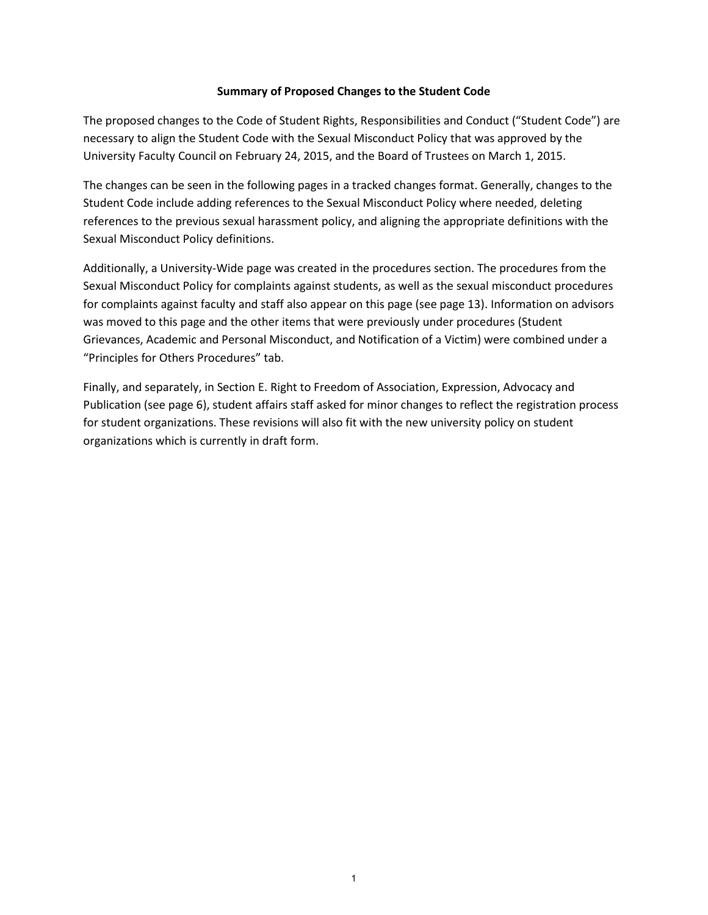#### **Summary of Proposed Changes to the Student Code**

The proposed changes to the Code of Student Rights, Responsibilities and Conduct ("Student Code") are necessary to align the Student Code with the Sexual Misconduct Policy that was approved by the University Faculty Council on February 24, 2015, and the Board of Trustees on March 1, 2015.

The changes can be seen in the following pages in a tracked changes format. Generally, changes to the Student Code include adding references to the Sexual Misconduct Policy where needed, deleting references to the previous sexual harassment policy, and aligning the appropriate definitions with the Sexual Misconduct Policy definitions.

Additionally, a University-Wide page was created in the procedures section. The procedures from the Sexual Misconduct Policy for complaints against students, as well as the sexual misconduct procedures for complaints against faculty and staff also appear on this page (see page 13). Information on advisors was moved to this page and the other items that were previously under procedures (Student Grievances, Academic and Personal Misconduct, and Notification of a Victim) were combined under a "Principles for Others Procedures" tab.

Finally, and separately, in Section E. Right to Freedom of Association, Expression, Advocacy and Publication (see page 6), student affairs staff asked for minor changes to reflect the registration process for student organizations. These revisions will also fit with the new university policy on student organizations which is currently in draft form.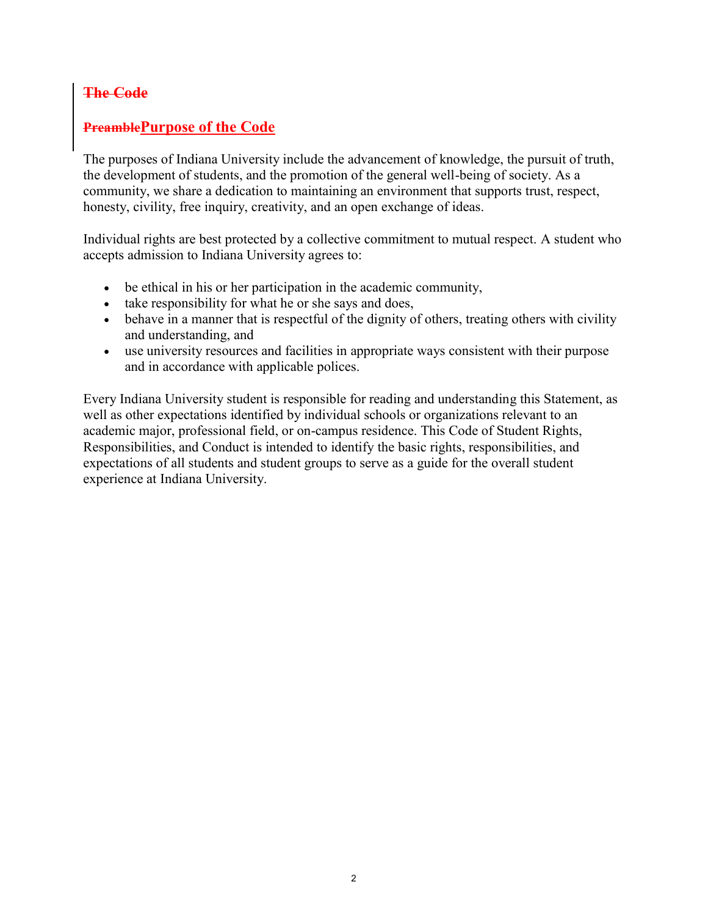### **The Code**

### **PreamblePurpose of the Code**

The purposes of Indiana University include the advancement of knowledge, the pursuit of truth, the development of students, and the promotion of the general well-being of society. As a community, we share a dedication to maintaining an environment that supports trust, respect, honesty, civility, free inquiry, creativity, and an open exchange of ideas.

Individual rights are best protected by a collective commitment to mutual respect. A student who accepts admission to Indiana University agrees to:

- be ethical in his or her participation in the academic community,
- take responsibility for what he or she says and does,
- behave in a manner that is respectful of the dignity of others, treating others with civility and understanding, and
- use university resources and facilities in appropriate ways consistent with their purpose and in accordance with applicable polices.

Every Indiana University student is responsible for reading and understanding this Statement, as well as other expectations identified by individual schools or organizations relevant to an academic major, professional field, or on-campus residence. This Code of Student Rights, Responsibilities, and Conduct is intended to identify the basic rights, responsibilities, and expectations of all students and student groups to serve as a guide for the overall student experience at Indiana University.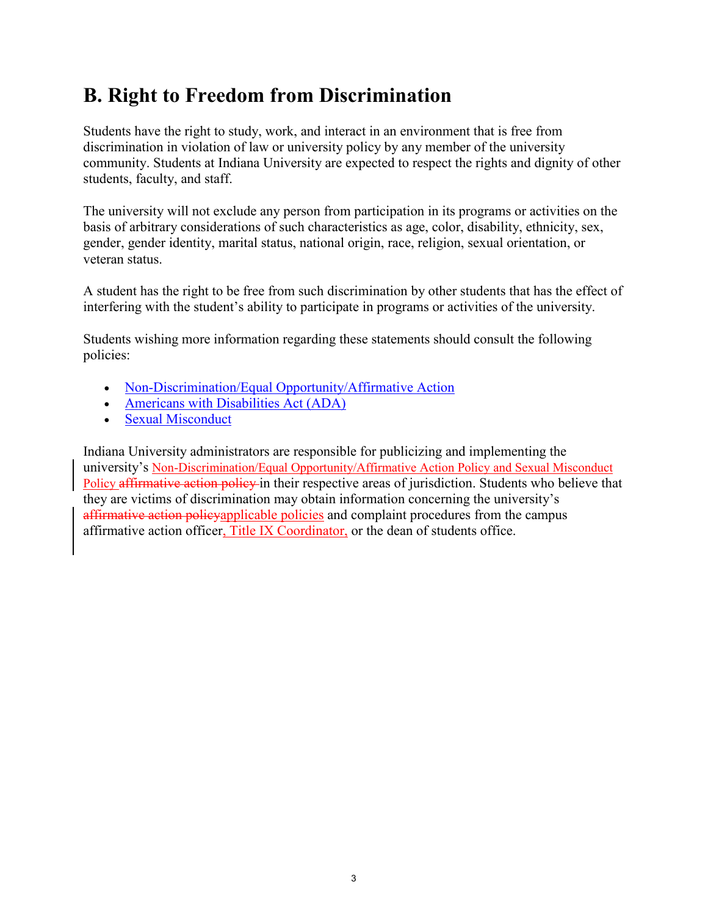## **B. Right to Freedom from Discrimination**

Students have the right to study, work, and interact in an environment that is free from discrimination in violation of law or university policy by any member of the university community. Students at Indiana University are expected to respect the rights and dignity of other students, faculty, and staff.

The university will not exclude any person from participation in its programs or activities on the basis of arbitrary considerations of such characteristics as age, color, disability, ethnicity, sex, gender, gender identity, marital status, national origin, race, religion, sexual orientation, or veteran status.

A student has the right to be free from such discrimination by other students that has the effect of interfering with the student's ability to participate in programs or activities of the university.

Students wishing more information regarding these statements should consult the following policies:

- [Non-Discrimination/Equal Opportunity/Affirmative Action](http://policies.iu.edu/policies/categories/administration-operations/equal-opportunity/Equal-Opportunity-Affirmative-Action.shtml)
- [Americans with Disabilities Act \(ADA\)](http://policies.iu.edu/policies/categories/administration-operations/equal-opportunity/ADA-policy.shtml)
- [Sexual Misconduct](http://policies.iu.edu/policies/categories/administration-operations/equal-opportunity/sexual-misconduct.shtml)

Indiana University administrators are responsible for publicizing and implementing the university's [Non-Discrimination/Equal Opportunity/Affirmative Action Policy](http://policies.iu.edu/policies/categories/administration-operations/equal-opportunity/Equal-Opportunity-Affirmative-Action.shtml) and [Sexual Misconduct](http://policies.iu.edu/policies/categories/administration-operations/equal-opportunity/sexual-misconduct.shtml)  [Policy](http://policies.iu.edu/policies/categories/administration-operations/equal-opportunity/sexual-misconduct.shtml) affirmative action policy in their respective areas of jurisdiction. Students who believe that they are victims of discrimination may obtain information concerning the university's affirmative action policyapplicable policies and complaint procedures from the campus affirmative action officer, Title IX Coordinator, or the dean of students office.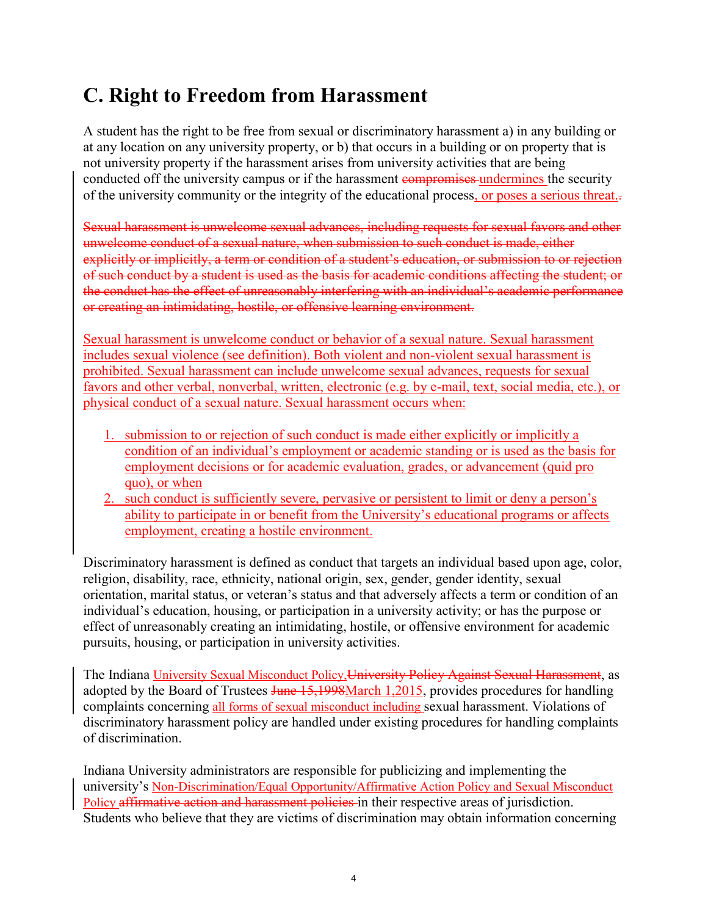## **C. Right to Freedom from Harassment**

A student has the right to be free from sexual or discriminatory harassment a) in any building or at any location on any university property, or b) that occurs in a building or on property that is not university property if the harassment arises from university activities that are being conducted off the university campus or if the harassment compromises undermines the security of the university community or the integrity of the educational process, or poses a serious threat..

Sexual harassment is unwelcome sexual advances, including requests for sexual favors and other unwelcome conduct of a sexual nature, when submission to such conduct is made, either explicitly or implicitly, a term or condition of a student's education, or submission to or rejection of such conduct by a student is used as the basis for academic conditions affecting the student; or the conduct has the effect of unreasonably interfering with an individual's academic performance or creating an intimidating, hostile, or offensive learning environment.

Sexual harassment is unwelcome conduct or behavior of a sexual nature. Sexual harassment includes sexual violence (see definition). Both violent and non-violent sexual harassment is prohibited. Sexual harassment can include unwelcome sexual advances, requests for sexual favors and other verbal, nonverbal, written, electronic (e.g. by e-mail, text, social media, etc.), or physical conduct of a sexual nature. Sexual harassment occurs when:

- 1. submission to or rejection of such conduct is made either explicitly or implicitly a condition of an individual's employment or academic standing or is used as the basis for employment decisions or for academic evaluation, grades, or advancement (quid pro quo), or when
- 2. such conduct is sufficiently severe, pervasive or persistent to limit or deny a person's ability to participate in or benefit from the University's educational programs or affects employment, creating a hostile environment.

Discriminatory harassment is defined as conduct that targets an individual based upon age, color, religion, disability, race, ethnicity, national origin, sex, gender, gender identity, sexual orientation, marital status, or veteran's status and that adversely affects a term or condition of an individual's education, housing, or participation in a university activity; or has the purpose or effect of unreasonably creating an intimidating, hostile, or offensive environment for academic pursuits, housing, or participation in university activities.

The Indiana [University Sexual Misconduct Policy,](http://policies.iu.edu/policies/categories/administration-operations/equal-opportunity/sexual-misconduct.shtml) University Policy Against Sexual Harassment, as adopted by the Board of Trustees June 15,1998March 1,2015, provides procedures for handling complaints concerning all forms of sexual misconduct including sexual harassment. Violations of discriminatory harassment policy are handled under existing procedures for handling complaints of discrimination.

Indiana University administrators are responsible for publicizing and implementing the university's [Non-Discrimination/Equal Opportunity/Affirmative Action Policy](http://policies.iu.edu/policies/categories/administration-operations/equal-opportunity/Equal-Opportunity-Affirmative-Action.shtml) and [Sexual Misconduct](http://policies.iu.edu/policies/categories/administration-operations/equal-opportunity/sexual-misconduct.shtml)  [Policy](http://policies.iu.edu/policies/categories/administration-operations/equal-opportunity/sexual-misconduct.shtml) affirmative action and harassment policies in their respective areas of jurisdiction. Students who believe that they are victims of discrimination may obtain information concerning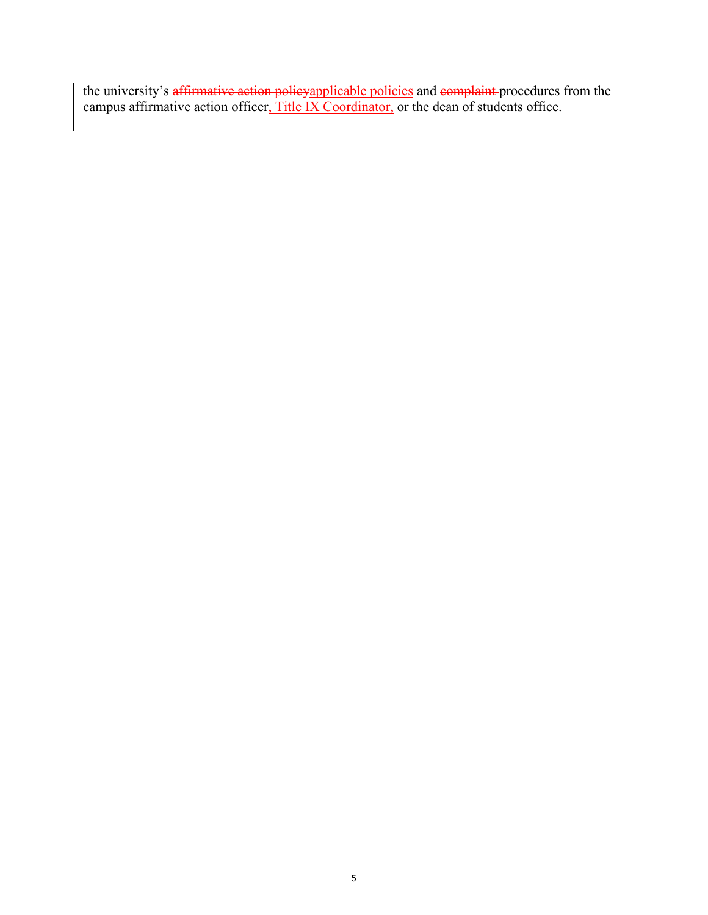the university's <del>affirmative action policyapplicable policies</del> and <del>complaint p</del>rocedures from the campus affirmative action officer, Title IX Coordinator, or the dean of students office.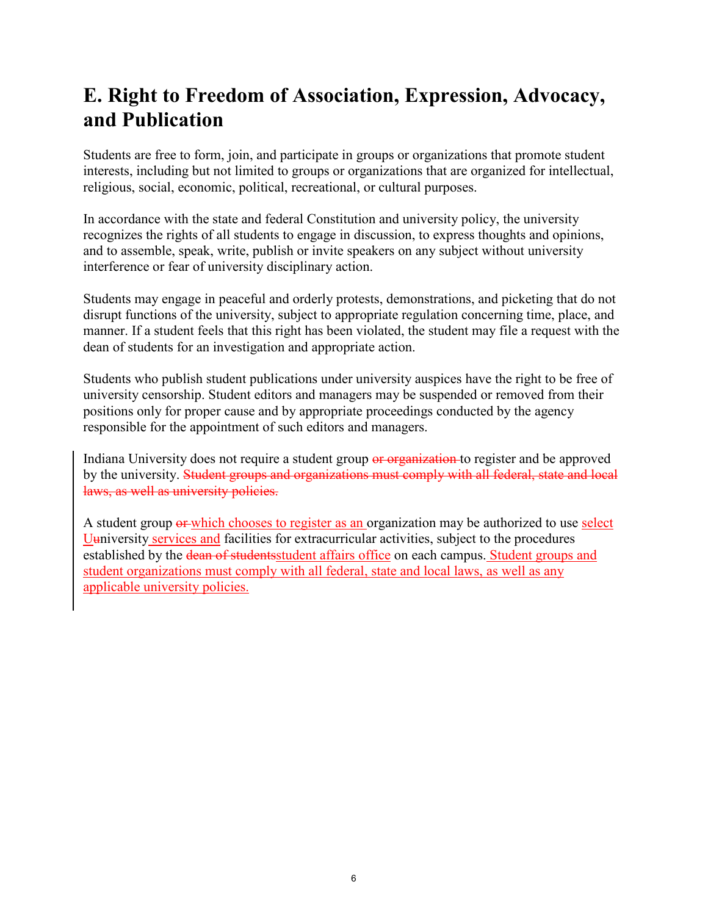## **E. Right to Freedom of Association, Expression, Advocacy, and Publication**

Students are free to form, join, and participate in groups or organizations that promote student interests, including but not limited to groups or organizations that are organized for intellectual, religious, social, economic, political, recreational, or cultural purposes.

In accordance with the state and federal Constitution and university policy, the university recognizes the rights of all students to engage in discussion, to express thoughts and opinions, and to assemble, speak, write, publish or invite speakers on any subject without university interference or fear of university disciplinary action.

Students may engage in peaceful and orderly protests, demonstrations, and picketing that do not disrupt functions of the university, subject to appropriate regulation concerning time, place, and manner. If a student feels that this right has been violated, the student may file a request with the dean of students for an investigation and appropriate action.

Students who publish student publications under university auspices have the right to be free of university censorship. Student editors and managers may be suspended or removed from their positions only for proper cause and by appropriate proceedings conducted by the agency responsible for the appointment of such editors and managers.

Indiana University does not require a student group or organization to register and be approved by the university. Student groups and organizations must comply with all federal, state and local laws, as well as university policies.

A student group or which chooses to register as an organization may be authorized to use select Uuniversity services and facilities for extracurricular activities, subject to the procedures established by the dean of studentsstudent affairs office on each campus. Student groups and student organizations must comply with all federal, state and local laws, as well as any applicable university policies.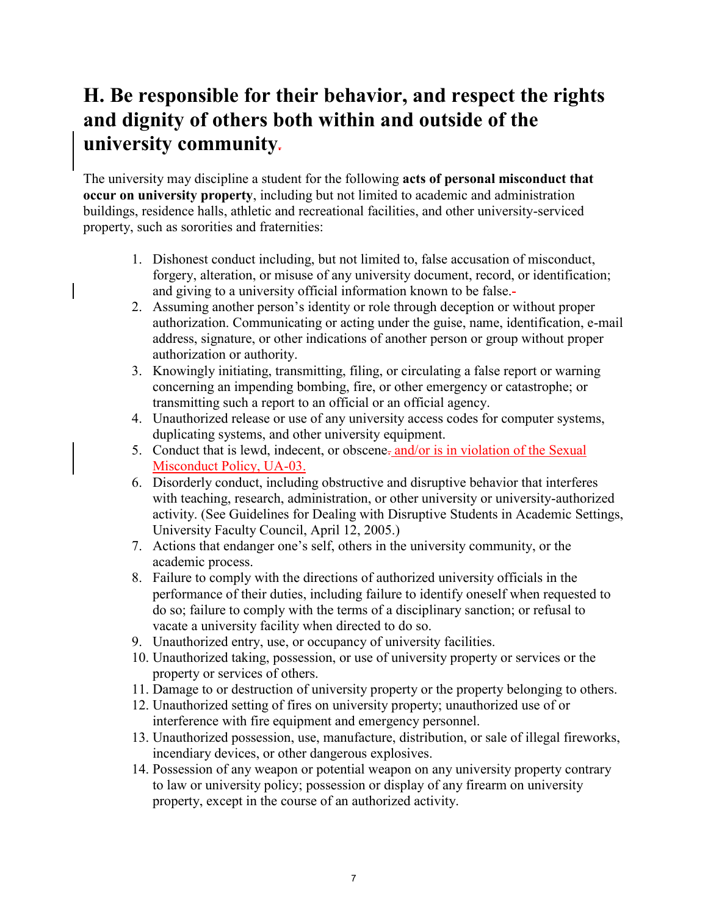## **H. Be responsible for their behavior, and respect the rights and dignity of others both within and outside of the university community.**

The university may discipline a student for the following **acts of personal misconduct that occur on university property**, including but not limited to academic and administration buildings, residence halls, athletic and recreational facilities, and other university-serviced property, such as sororities and fraternities:

- 1. Dishonest conduct including, but not limited to, false accusation of misconduct, forgery, alteration, or misuse of any university document, record, or identification; and giving to a university official information known to be false.
- 2. Assuming another person's identity or role through deception or without proper authorization. Communicating or acting under the guise, name, identification, e-mail address, signature, or other indications of another person or group without proper authorization or authority.
- 3. Knowingly initiating, transmitting, filing, or circulating a false report or warning concerning an impending bombing, fire, or other emergency or catastrophe; or transmitting such a report to an official or an official agency.
- 4. Unauthorized release or use of any university access codes for computer systems, duplicating systems, and other university equipment.
- 5. Conduct that is lewd, indecent, or obscene-and/or is in violation of the [Sexual](http://policies.iu.edu/policies/categories/administration-operations/equal-opportunity/sexual-misconduct.shtml) [Misconduct Policy, UA-03.](http://policies.iu.edu/policies/categories/administration-operations/equal-opportunity/sexual-misconduct.shtml)
- 6. Disorderly conduct, including obstructive and disruptive behavior that interferes with teaching, research, administration, or other university or university-authorized activity. (See Guidelines for Dealing with Disruptive Students in Academic Settings, University Faculty Council, April 12, 2005.)
- 7. Actions that endanger one's self, others in the university community, or the academic process.
- 8. Failure to comply with the directions of authorized university officials in the performance of their duties, including failure to identify oneself when requested to do so; failure to comply with the terms of a disciplinary sanction; or refusal to vacate a university facility when directed to do so.
- 9. Unauthorized entry, use, or occupancy of university facilities.
- 10. Unauthorized taking, possession, or use of university property or services or the property or services of others.
- 11. Damage to or destruction of university property or the property belonging to others.
- 12. Unauthorized setting of fires on university property; unauthorized use of or interference with fire equipment and emergency personnel.
- 13. Unauthorized possession, use, manufacture, distribution, or sale of illegal fireworks, incendiary devices, or other dangerous explosives.
- 14. Possession of any weapon or potential weapon on any university property contrary to law or university policy; possession or display of any firearm on university property, except in the course of an authorized activity.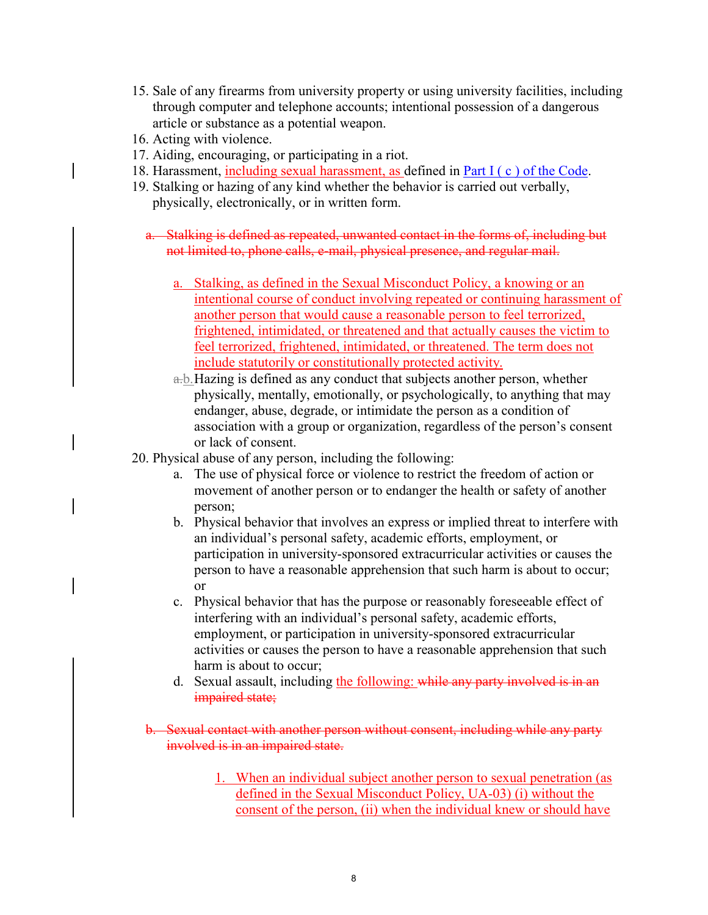- 15. Sale of any firearms from university property or using university facilities, including through computer and telephone accounts; intentional possession of a dangerous article or substance as a potential weapon.
- 16. Acting with violence.
- 17. Aiding, encouraging, or participating in a riot.
- 18. Harassment, including sexual harassment, as defined in [Part I \( c \) of the Code.](http://webtest.iu.edu/~stucode/rights/harassment.html)
- 19. Stalking or hazing of any kind whether the behavior is carried out verbally, physically, electronically, or in written form.
	- a. Stalking is defined as repeated, unwanted contact in the forms of, including but not limited to, phone calls, e-mail, physical presence, and regular mail.
		- a. Stalking, as defined in the [Sexual Misconduct Policy,](http://policies.iu.edu/policies/categories/administration-operations/equal-opportunity/sexual-misconduct.shtml#definitions) a knowing or an intentional course of conduct involving repeated or continuing harassment of another person that would cause a reasonable person to feel terrorized, frightened, intimidated, or threatened and that actually causes the victim to feel terrorized, frightened, intimidated, or threatened. The term does not include statutorily or constitutionally protected activity.
		- a.b.Hazing is defined as any conduct that subjects another person, whether physically, mentally, emotionally, or psychologically, to anything that may endanger, abuse, degrade, or intimidate the person as a condition of association with a group or organization, regardless of the person's consent or lack of consent.
- 20. Physical abuse of any person, including the following:
	- a. The use of physical force or violence to restrict the freedom of action or movement of another person or to endanger the health or safety of another person;
	- b. Physical behavior that involves an express or implied threat to interfere with an individual's personal safety, academic efforts, employment, or participation in university-sponsored extracurricular activities or causes the person to have a reasonable apprehension that such harm is about to occur; or
	- c. Physical behavior that has the purpose or reasonably foreseeable effect of interfering with an individual's personal safety, academic efforts, employment, or participation in university-sponsored extracurricular activities or causes the person to have a reasonable apprehension that such harm is about to occur;
	- d. Sexual assault, including the following: while any party involved is in an impaired state;
	- b. Sexual contact with another person without consent, including while any party involved is in an impaired state.
		- 1. When an individual subject another person to sexual penetration (as defined in the [Sexual Misconduct Policy, UA-03\)](http://policies.iu.edu/policies/categories/administration-operations/equal-opportunity/sexual-misconduct.shtml#definitions) (i) without the consent of the person, (ii) when the individual knew or should have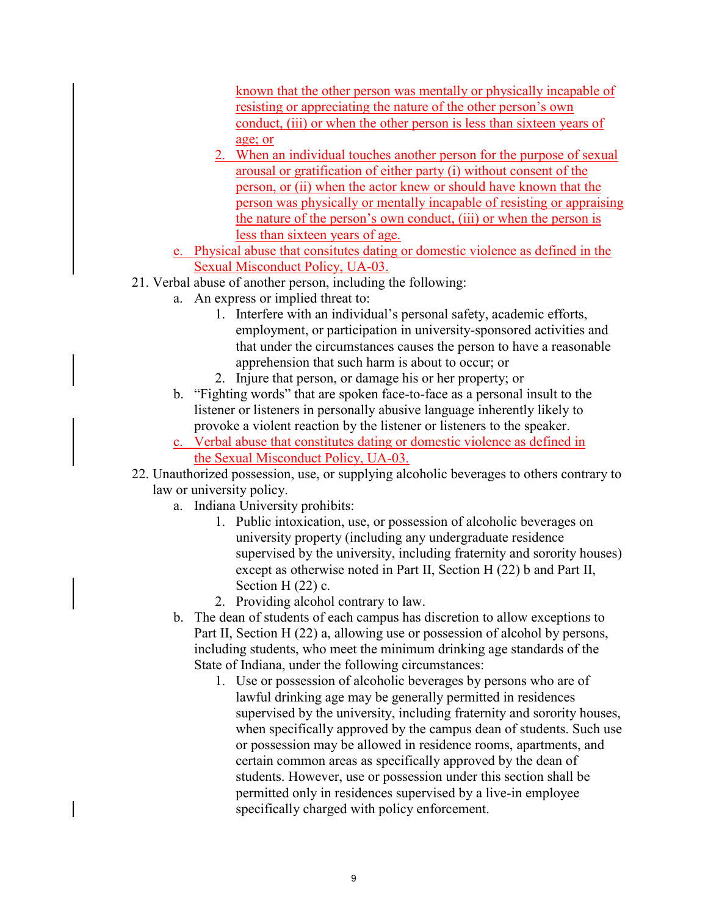known that the other person was mentally or physically incapable of resisting or appreciating the nature of the other person's own conduct, (iii) or when the other person is less than sixteen years of age; or

- 2. When an individual touches another person for the purpose of sexual arousal or gratification of either party (i) without consent of the person, or (ii) when the actor knew or should have known that the person was physically or mentally incapable of resisting or appraising the nature of the person's own conduct, (iii) or when the person is less than sixteen years of age.
- e. Physical abuse that consitutes dating or domestic violence as defined in the [Sexual Misconduct Policy, UA-03.](http://policies.iu.edu/policies/categories/administration-operations/equal-opportunity/sexual-misconduct.shtml#definitions)
- 21. Verbal abuse of another person, including the following:
	- a. An express or implied threat to:
		- 1. Interfere with an individual's personal safety, academic efforts, employment, or participation in university-sponsored activities and that under the circumstances causes the person to have a reasonable apprehension that such harm is about to occur; or
		- 2. Injure that person, or damage his or her property; or
	- b. "Fighting words" that are spoken face-to-face as a personal insult to the listener or listeners in personally abusive language inherently likely to provoke a violent reaction by the listener or listeners to the speaker.
	- c. Verbal abuse that constitutes dating or domestic violence as defined in the [Sexual Misconduct Policy, UA-03.](http://policies.iu.edu/policies/categories/administration-operations/equal-opportunity/sexual-misconduct.shtml#definitions)
- 22. Unauthorized possession, use, or supplying alcoholic beverages to others contrary to law or university policy.
	- a. Indiana University prohibits:
		- 1. Public intoxication, use, or possession of alcoholic beverages on university property (including any undergraduate residence supervised by the university, including fraternity and sorority houses) except as otherwise noted in Part II, Section H (22) b and Part II, Section H (22) c.
		- 2. Providing alcohol contrary to law.
	- b. The dean of students of each campus has discretion to allow exceptions to Part II, Section H (22) a, allowing use or possession of alcohol by persons, including students, who meet the minimum drinking age standards of the State of Indiana, under the following circumstances:
		- 1. Use or possession of alcoholic beverages by persons who are of lawful drinking age may be generally permitted in residences supervised by the university, including fraternity and sorority houses, when specifically approved by the campus dean of students. Such use or possession may be allowed in residence rooms, apartments, and certain common areas as specifically approved by the dean of students. However, use or possession under this section shall be permitted only in residences supervised by a live-in employee specifically charged with policy enforcement.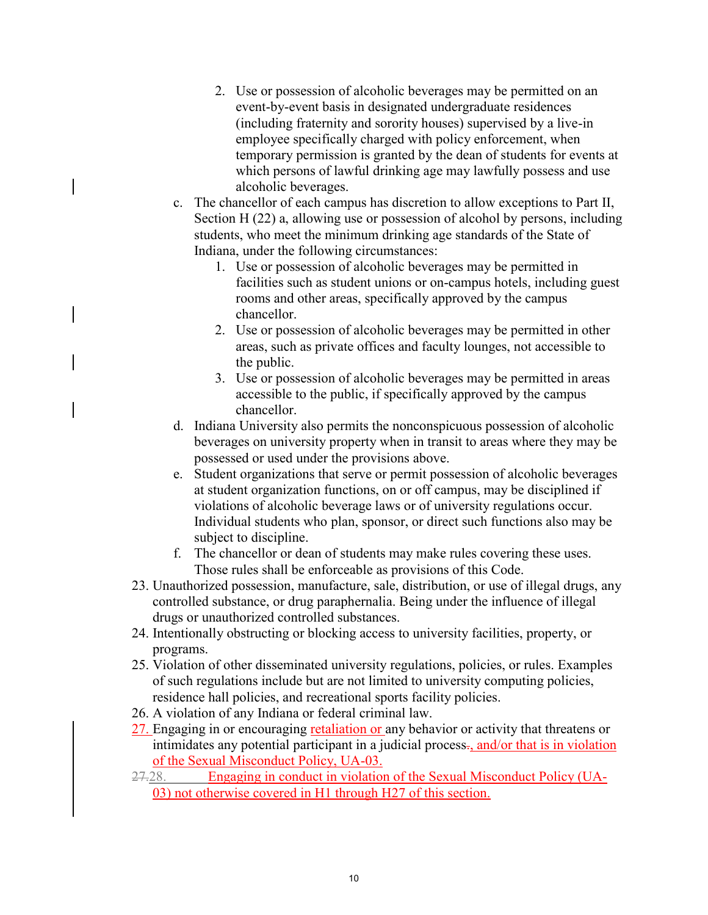- 2. Use or possession of alcoholic beverages may be permitted on an event-by-event basis in designated undergraduate residences (including fraternity and sorority houses) supervised by a live-in employee specifically charged with policy enforcement, when temporary permission is granted by the dean of students for events at which persons of lawful drinking age may lawfully possess and use alcoholic beverages.
- c. The chancellor of each campus has discretion to allow exceptions to Part II, Section H (22) a, allowing use or possession of alcohol by persons, including students, who meet the minimum drinking age standards of the State of Indiana, under the following circumstances:
	- 1. Use or possession of alcoholic beverages may be permitted in facilities such as student unions or on-campus hotels, including guest rooms and other areas, specifically approved by the campus chancellor.
	- 2. Use or possession of alcoholic beverages may be permitted in other areas, such as private offices and faculty lounges, not accessible to the public.
	- 3. Use or possession of alcoholic beverages may be permitted in areas accessible to the public, if specifically approved by the campus chancellor.
- d. Indiana University also permits the nonconspicuous possession of alcoholic beverages on university property when in transit to areas where they may be possessed or used under the provisions above.
- e. Student organizations that serve or permit possession of alcoholic beverages at student organization functions, on or off campus, may be disciplined if violations of alcoholic beverage laws or of university regulations occur. Individual students who plan, sponsor, or direct such functions also may be subject to discipline.
- f. The chancellor or dean of students may make rules covering these uses. Those rules shall be enforceable as provisions of this Code.
- 23. Unauthorized possession, manufacture, sale, distribution, or use of illegal drugs, any controlled substance, or drug paraphernalia. Being under the influence of illegal drugs or unauthorized controlled substances.
- 24. Intentionally obstructing or blocking access to university facilities, property, or programs.
- 25. Violation of other disseminated university regulations, policies, or rules. Examples of such regulations include but are not limited to university computing policies, residence hall policies, and recreational sports facility policies.
- 26. A violation of any Indiana or federal criminal law.
- 27. Engaging in or encouraging <u>retaliation or</u> any behavior or activity that threatens or intimidates any potential participant in a judicial process-, and/or that is in violation of the [Sexual Misconduct Policy, UA-03.](http://policies.iu.edu/policies/categories/administration-operations/equal-opportunity/sexual-misconduct.shtml#definitions)
- 27.28. Engaging in conduct in violation of the Sexual Misconduct Policy (UA-03) not otherwise covered in H1 through H27 of this section.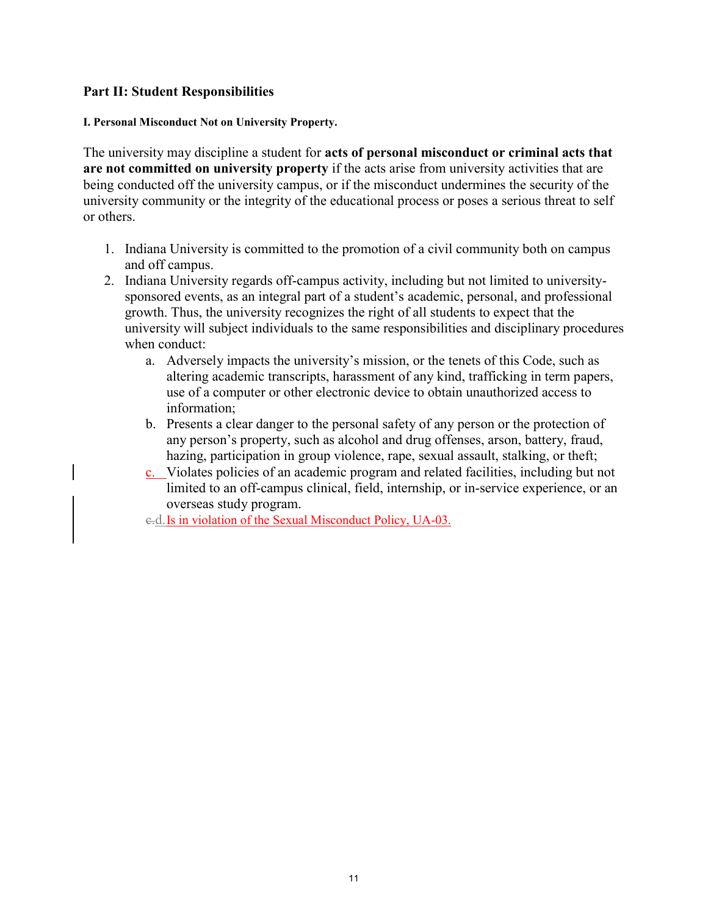#### **Part II: Student Responsibilities**

#### **I. Personal Misconduct Not on University Property.**

The university may discipline a student for **acts of personal misconduct or criminal acts that are not committed on university property** if the acts arise from university activities that are being conducted off the university campus, or if the misconduct undermines the security of the university community or the integrity of the educational process or poses a serious threat to self or others.

- 1. Indiana University is committed to the promotion of a civil community both on campus and off campus.
- 2. Indiana University regards off-campus activity, including but not limited to universitysponsored events, as an integral part of a student's academic, personal, and professional growth. Thus, the university recognizes the right of all students to expect that the university will subject individuals to the same responsibilities and disciplinary procedures when conduct:
	- a. Adversely impacts the university's mission, or the tenets of this Code, such as altering academic transcripts, harassment of any kind, trafficking in term papers, use of a computer or other electronic device to obtain unauthorized access to information;
	- b. Presents a clear danger to the personal safety of any person or the protection of any person's property, such as alcohol and drug offenses, arson, battery, fraud, hazing, participation in group violence, rape, sexual assault, stalking, or theft;
	- c. Violates policies of an academic program and related facilities, including but not limited to an off-campus clinical, field, internship, or in-service experience, or an overseas study program.

c.d.Is in violation of the [Sexual Misconduct Policy, UA-03.](http://policies.iu.edu/policies/categories/administration-operations/equal-opportunity/sexual-misconduct.shtml#definitions)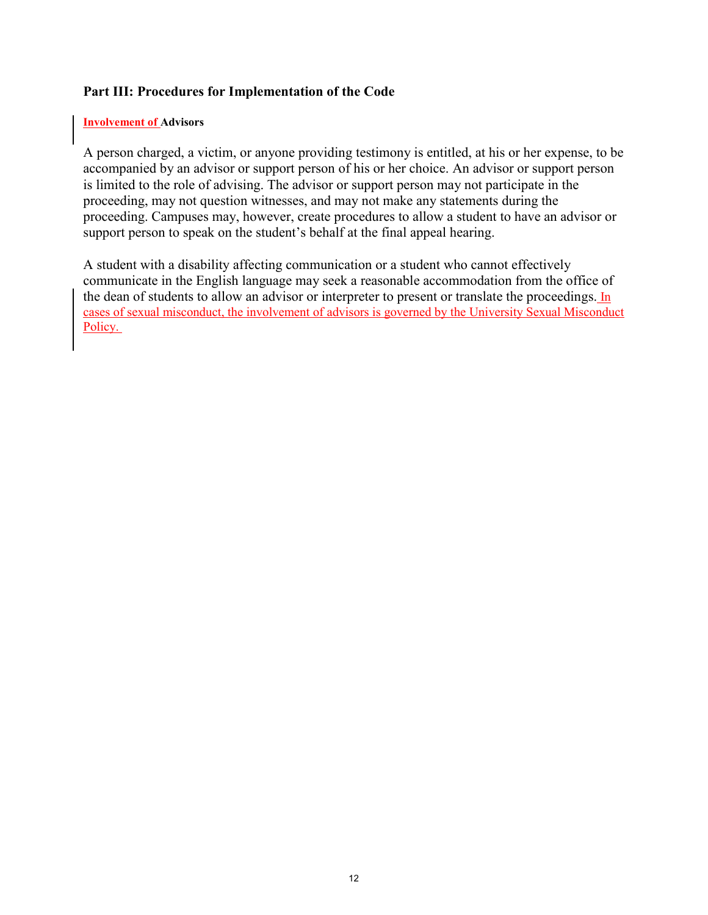#### **Part III: Procedures for Implementation of the Code**

#### **Involvement of Advisors**

A person charged, a victim, or anyone providing testimony is entitled, at his or her expense, to be accompanied by an advisor or support person of his or her choice. An advisor or support person is limited to the role of advising. The advisor or support person may not participate in the proceeding, may not question witnesses, and may not make any statements during the proceeding. Campuses may, however, create procedures to allow a student to have an advisor or support person to speak on the student's behalf at the final appeal hearing.

A student with a disability affecting communication or a student who cannot effectively communicate in the English language may seek a reasonable accommodation from the office of the dean of students to allow an advisor or interpreter to present or translate the proceedings. In cases of sexual misconduct, the involvement of advisors is governed by the [University Sexual Misconduct](http://policies.iu.edu/policies/categories/administration-operations/equal-opportunity/sexual-misconduct.shtml)  [Policy.](http://policies.iu.edu/policies/categories/administration-operations/equal-opportunity/sexual-misconduct.shtml)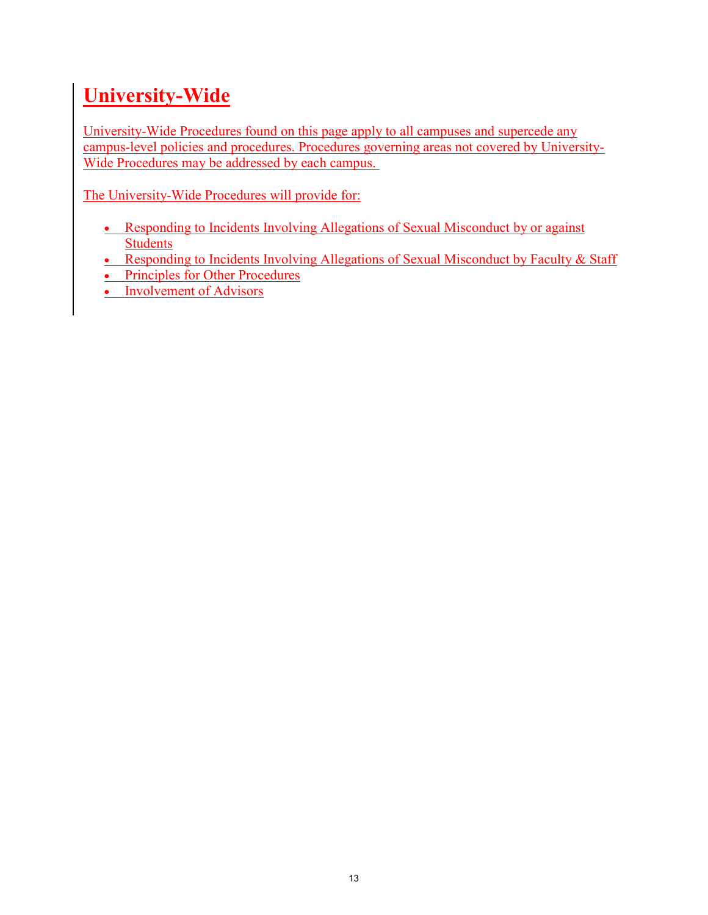# **University-Wide**

University-Wide Procedures found on this page apply to all campuses and supercede any campus-level policies and procedures. Procedures governing areas not covered by University-Wide Procedures may be addressed by each campus.

The University-Wide Procedures will provide for:

- Responding to Incidents Involving Allegations of Sexual Misconduct by or against [Students](http://webtest.iu.edu/~stucode/procedures/iu-wide/sexual-misconduct.html)
- [Responding to Incidents Involving Allegations of Sexual Misconduct by Faculty & Staff](http://webtest.iu.edu/~stucode/procedures/iu-wide/sexual-misconduct-employees.html)
- [Principles for Other Procedures](http://webtest.iu.edu/~stucode/procedures/iu-wide/principles.html)
- [Involvement of Advisors](http://webtest.iu.edu/~stucode/procedures/iu-wide/advisors.html)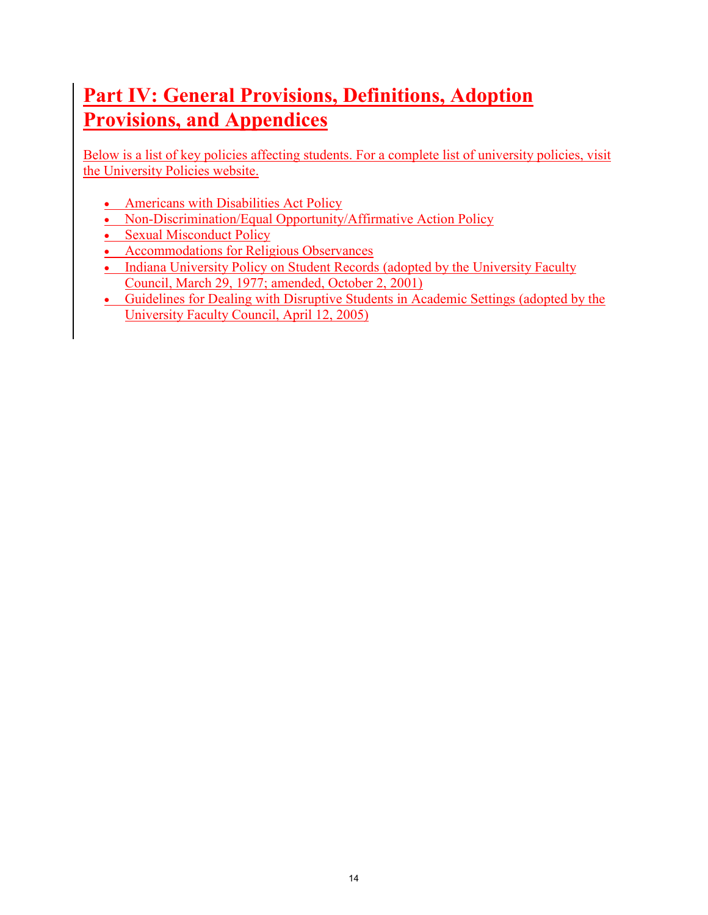# **Part IV: General Provisions, Definitions, Adoption Provisions, and Appendices**

Below is a list of key policies affecting students. For a complete list of university policies, visit the [University Policies website.](http://policies.iu.edu/)

- [Americans with Disabilities Act Policy](http://policies.iu.edu/policies/categories/administration-operations/equal-opportunity/ADA-policy.shtml)
- [Non-Discrimination/Equal Opportunity/Affirmative Action Policy](http://policies.iu.edu/policies/categories/administration-operations/equal-opportunity/Equal-Opportunity-Affirmative-Action.shtml)
- [Sexual Misconduct Policy](http://policies.iu.edu/policies/categories/administration-operations/equal-opportunity/sexual-harassment.shtml)
- [Accommodations for Religious Observances](http://policies.iu.edu/policies/categories/academic-faculty-students/academic-student-affairs/accommodation-for-religious-observances.shtml)
- [Indiana University Policy on Student Records](http://webtest.iu.edu/~stucode/doc/StudentRecords.pdf) (adopted by the University Faculty Council, March 29, 1977; amended, October 2, 2001)
- [Guidelines for Dealing with Disruptive Students in Academic Settings](http://webtest.iu.edu/~stucode/doc/DisruptiveStudents.pdf) (adopted by the University Faculty Council, April 12, 2005)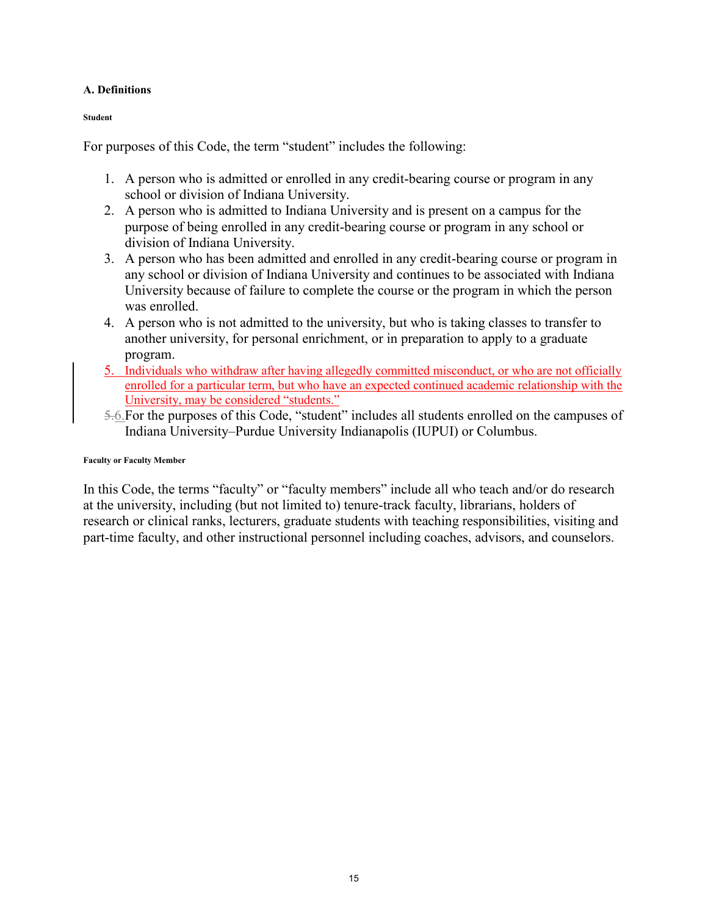#### **A. Definitions**

**Student** 

For purposes of this Code, the term "student" includes the following:

- 1. A person who is admitted or enrolled in any credit-bearing course or program in any school or division of Indiana University.
- 2. A person who is admitted to Indiana University and is present on a campus for the purpose of being enrolled in any credit-bearing course or program in any school or division of Indiana University.
- 3. A person who has been admitted and enrolled in any credit-bearing course or program in any school or division of Indiana University and continues to be associated with Indiana University because of failure to complete the course or the program in which the person was enrolled.
- 4. A person who is not admitted to the university, but who is taking classes to transfer to another university, for personal enrichment, or in preparation to apply to a graduate program.
- 5. Individuals who withdraw after having allegedly committed misconduct, or who are not officially enrolled for a particular term, but who have an expected continued academic relationship with the University, may be considered "students."
- 5.6.For the purposes of this Code, "student" includes all students enrolled on the campuses of Indiana University–Purdue University Indianapolis (IUPUI) or Columbus.

#### **Faculty or Faculty Member**

In this Code, the terms "faculty" or "faculty members" include all who teach and/or do research at the university, including (but not limited to) tenure-track faculty, librarians, holders of research or clinical ranks, lecturers, graduate students with teaching responsibilities, visiting and part-time faculty, and other instructional personnel including coaches, advisors, and counselors.